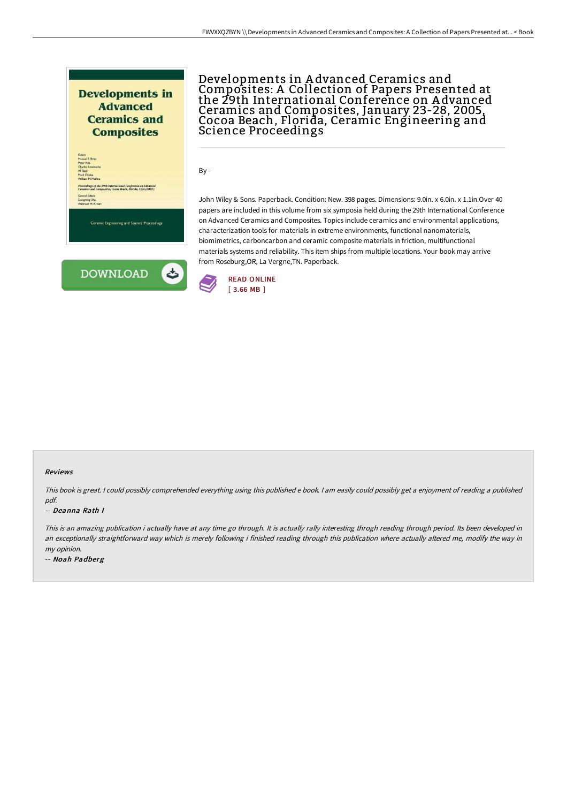



mic Engineering and Science Proceedings



## Developments in A dvanced Ceramics and Composites: A Collection of Papers Presented at the 29th International Conference on A dvanced Ceramics and Composites, January 23-28, 2005, Cocoa Beach, Florida, Ceramic Engineering and Science Proceedings

By -

John Wiley & Sons. Paperback. Condition: New. 398 pages. Dimensions: 9.0in. x 6.0in. x 1.1in.Over 40 papers are included in this volume from six symposia held during the 29th International Conference on Advanced Ceramics and Composites. Topics include ceramics and environmental applications, characterization tools for materials in extreme environments, functional nanomaterials, biomimetrics, carboncarbon and ceramic composite materials in friction, multifunctional materials systems and reliability. This item ships from multiple locations. Your book may arrive from Roseburg,OR, La Vergne,TN. Paperback.



## Reviews

This book is great. <sup>I</sup> could possibly comprehended everything using this published <sup>e</sup> book. <sup>I</sup> am easily could possibly get <sup>a</sup> enjoyment of reading <sup>a</sup> published pdf.

## -- Deanna Rath I

This is an amazing publication i actually have at any time go through. It is actually rally interesting throgh reading through period. Its been developed in an exceptionally straightforward way which is merely following i finished reading through this publication where actually altered me, modify the way in my opinion.

-- Noah Padberg